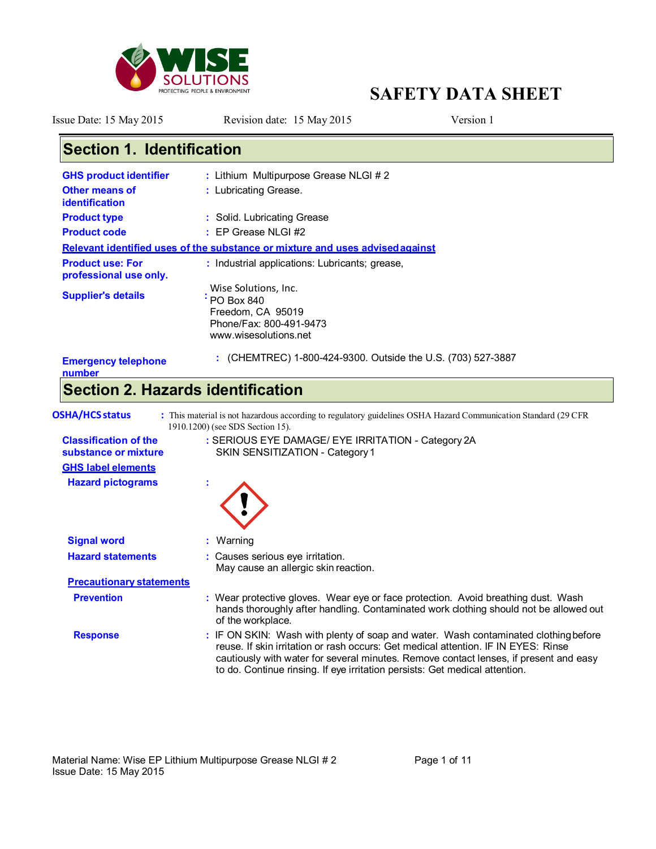

**Section 1. Identification**

# **SAFETY DATA SHEET**

Issue Date: 15 May 2015 Revision date: 15 May 2015 Version 1

| <b>GHS product identifier</b>                     | : Lithium Multipurpose Grease NLGI #2                                                                                                                                                                                                                                                                                                             |
|---------------------------------------------------|---------------------------------------------------------------------------------------------------------------------------------------------------------------------------------------------------------------------------------------------------------------------------------------------------------------------------------------------------|
| <b>Other means of</b><br><b>identification</b>    | : Lubricating Grease.                                                                                                                                                                                                                                                                                                                             |
| <b>Product type</b>                               | : Solid. Lubricating Grease                                                                                                                                                                                                                                                                                                                       |
| <b>Product code</b>                               | $:$ EP Grease NLGI #2                                                                                                                                                                                                                                                                                                                             |
|                                                   | Relevant identified uses of the substance or mixture and uses advised against                                                                                                                                                                                                                                                                     |
| <b>Product use: For</b><br>professional use only. | : Industrial applications: Lubricants; grease,                                                                                                                                                                                                                                                                                                    |
| <b>Supplier's details</b>                         | Wise Solutions, Inc.<br>$\frac{1}{1}$ PO Box 840                                                                                                                                                                                                                                                                                                  |
|                                                   | Freedom, CA 95019                                                                                                                                                                                                                                                                                                                                 |
|                                                   | Phone/Fax: 800-491-9473                                                                                                                                                                                                                                                                                                                           |
|                                                   | www.wisesolutions.net                                                                                                                                                                                                                                                                                                                             |
| <b>Emergency telephone</b><br>number              | : (CHEMTREC) 1-800-424-9300. Outside the U.S. (703) 527-3887                                                                                                                                                                                                                                                                                      |
|                                                   | <b>Section 2. Hazards identification</b>                                                                                                                                                                                                                                                                                                          |
|                                                   |                                                                                                                                                                                                                                                                                                                                                   |
| <b>OSHA/HCS status</b>                            | : This material is not hazardous according to regulatory guidelines OSHA Hazard Communication Standard (29 CFR<br>1910.1200) (see SDS Section 15).                                                                                                                                                                                                |
| <b>Classification of the</b>                      | : SERIOUS EYE DAMAGE/ EYE IRRITATION - Category 2A                                                                                                                                                                                                                                                                                                |
| substance or mixture                              | SKIN SENSITIZATION - Category 1                                                                                                                                                                                                                                                                                                                   |
| <b>GHS label elements</b>                         |                                                                                                                                                                                                                                                                                                                                                   |
| <b>Hazard pictograms</b>                          |                                                                                                                                                                                                                                                                                                                                                   |
|                                                   |                                                                                                                                                                                                                                                                                                                                                   |
| <b>Signal word</b>                                | : Warning                                                                                                                                                                                                                                                                                                                                         |
| <b>Hazard statements</b>                          | : Causes serious eye irritation.<br>May cause an allergic skin reaction.                                                                                                                                                                                                                                                                          |
| <b>Precautionary statements</b>                   |                                                                                                                                                                                                                                                                                                                                                   |
| <b>Prevention</b>                                 | : Wear protective gloves. Wear eye or face protection. Avoid breathing dust. Wash<br>hands thoroughly after handling. Contaminated work clothing should not be allowed out<br>of the workplace.                                                                                                                                                   |
| <b>Response</b>                                   | : IF ON SKIN: Wash with plenty of soap and water. Wash contaminated clothing before<br>reuse. If skin irritation or rash occurs: Get medical attention. IF IN EYES: Rinse<br>cautiously with water for several minutes. Remove contact lenses, if present and easy<br>to do. Continue rinsing. If eye irritation persists: Get medical attention. |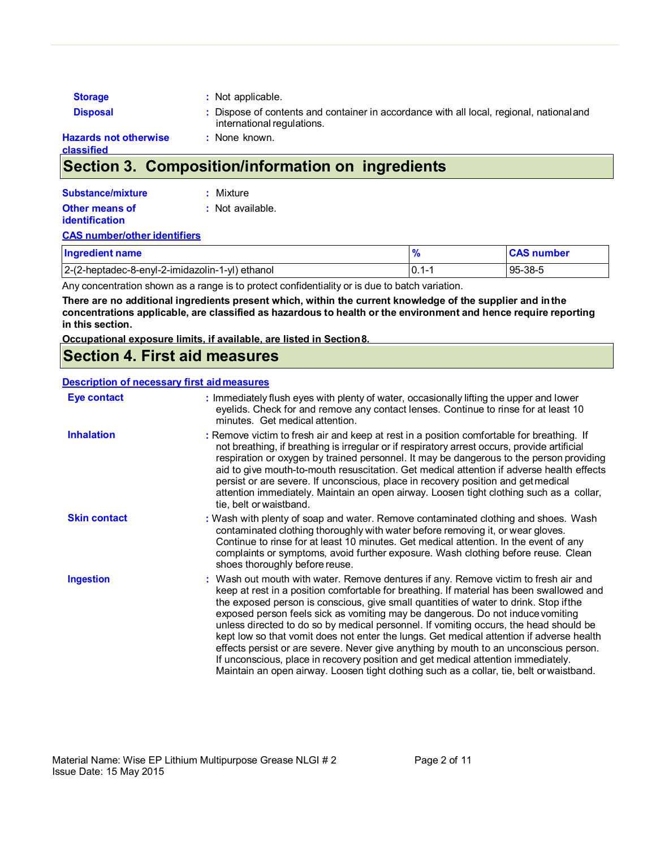| <b>Storage</b>                      | : Not applicable.                                                                                                      |
|-------------------------------------|------------------------------------------------------------------------------------------------------------------------|
| <b>Disposal</b>                     | : Dispose of contents and container in accordance with all local, regional, national and<br>international regulations. |
| Hazards not otherwise<br>classified | : None known.                                                                                                          |

## **Section 3. Composition/information on ingredients**

| Substance/mixture     | : Mixture        |
|-----------------------|------------------|
| <b>Other means of</b> | : Not available. |
| <b>identification</b> |                  |

#### **CAS number/other identifiers**

| <b>Ingredient name</b>                          |             | <b>CAS number</b> |
|-------------------------------------------------|-------------|-------------------|
| 2-(2-heptadec-8-enyl-2-imidazolin-1-yl) ethanol | 10.1<br>. . | 95-38-5           |

Any concentration shown as a range is to protect confidentiality or is due to batch variation.

**There are no additional ingredients present which, within the current knowledge of the supplier and in the concentrations applicable, are classified as hazardous to health or the environment and hence require reporting in this section.**

#### **Occupational exposure limits, if available, are listed in Section 8.**

### **Section 4. First aid measures**

#### **Description of necessary first aid measures**

| Eye contact         | : Immediately flush eyes with plenty of water, occasionally lifting the upper and lower<br>eyelids. Check for and remove any contact lenses. Continue to rinse for at least 10<br>minutes. Get medical attention.                                                                                                                                                                                                                                                                                                                                                                                                                                                                                                                                                                                                         |
|---------------------|---------------------------------------------------------------------------------------------------------------------------------------------------------------------------------------------------------------------------------------------------------------------------------------------------------------------------------------------------------------------------------------------------------------------------------------------------------------------------------------------------------------------------------------------------------------------------------------------------------------------------------------------------------------------------------------------------------------------------------------------------------------------------------------------------------------------------|
| <b>Inhalation</b>   | : Remove victim to fresh air and keep at rest in a position comfortable for breathing. If<br>not breathing, if breathing is irregular or if respiratory arrest occurs, provide artificial<br>respiration or oxygen by trained personnel. It may be dangerous to the person providing<br>aid to give mouth-to-mouth resuscitation. Get medical attention if adverse health effects<br>persist or are severe. If unconscious, place in recovery position and get medical<br>attention immediately. Maintain an open airway. Loosen tight clothing such as a collar,<br>tie, belt or waistband.                                                                                                                                                                                                                              |
| <b>Skin contact</b> | : Wash with plenty of soap and water. Remove contaminated clothing and shoes. Wash<br>contaminated clothing thoroughly with water before removing it, or wear gloves.<br>Continue to rinse for at least 10 minutes. Get medical attention. In the event of any<br>complaints or symptoms, avoid further exposure. Wash clothing before reuse. Clean<br>shoes thoroughly before reuse.                                                                                                                                                                                                                                                                                                                                                                                                                                     |
| Ingestion           | : Wash out mouth with water. Remove dentures if any. Remove victim to fresh air and<br>keep at rest in a position comfortable for breathing. If material has been swallowed and<br>the exposed person is conscious, give small quantities of water to drink. Stop if the<br>exposed person feels sick as vomiting may be dangerous. Do not induce vomiting<br>unless directed to do so by medical personnel. If vomiting occurs, the head should be<br>kept low so that vomit does not enter the lungs. Get medical attention if adverse health<br>effects persist or are severe. Never give anything by mouth to an unconscious person.<br>If unconscious, place in recovery position and get medical attention immediately.<br>Maintain an open airway. Loosen tight clothing such as a collar, tie, belt or waistband. |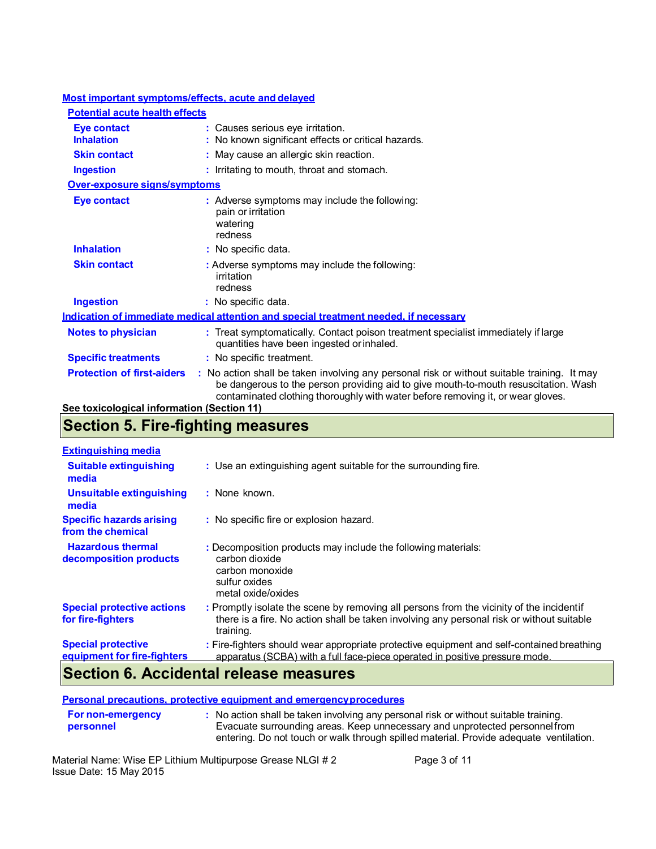### **Most important symptoms/effects, acute and delayed**

| <b>Potential acute health effects</b>      |                                                                                                                                                                                                                                                                       |
|--------------------------------------------|-----------------------------------------------------------------------------------------------------------------------------------------------------------------------------------------------------------------------------------------------------------------------|
| <b>Eye contact</b><br><b>Inhalation</b>    | : Causes serious eye irritation.<br>: No known significant effects or critical hazards.                                                                                                                                                                               |
| <b>Skin contact</b>                        | : May cause an allergic skin reaction.                                                                                                                                                                                                                                |
| Ingestion                                  | : Irritating to mouth, throat and stomach.                                                                                                                                                                                                                            |
| Over-exposure signs/symptoms               |                                                                                                                                                                                                                                                                       |
| <b>Eye contact</b>                         | : Adverse symptoms may include the following:<br>pain or irritation<br>watering<br>redness                                                                                                                                                                            |
| <b>Inhalation</b>                          | : No specific data.                                                                                                                                                                                                                                                   |
| <b>Skin contact</b>                        | : Adverse symptoms may include the following:<br>irritation<br>redness                                                                                                                                                                                                |
| <b>Ingestion</b>                           | : No specific data.                                                                                                                                                                                                                                                   |
|                                            | <u>Indication of immediate medical attention and special treatment needed, if necessary</u>                                                                                                                                                                           |
| <b>Notes to physician</b>                  | : Treat symptomatically. Contact poison treatment specialist immediately if large<br>quantities have been ingested or inhaled.                                                                                                                                        |
| <b>Specific treatments</b>                 | : No specific treatment.                                                                                                                                                                                                                                              |
| <b>Protection of first-aiders</b>          | : No action shall be taken involving any personal risk or without suitable training. It may<br>be dangerous to the person providing aid to give mouth-to-mouth resuscitation. Wash<br>contaminated clothing thoroughly with water before removing it, or wear gloves. |
| See toxicological information (Section 11) |                                                                                                                                                                                                                                                                       |

# **Section 5. Fire-fighting measures**

| <b>Extinguishing media</b>                               |                                                                                                                                                                                                    |
|----------------------------------------------------------|----------------------------------------------------------------------------------------------------------------------------------------------------------------------------------------------------|
| <b>Suitable extinguishing</b><br>media                   | : Use an extinguishing agent suitable for the surrounding fire.                                                                                                                                    |
| <b>Unsuitable extinguishing</b><br>media                 | : None known.                                                                                                                                                                                      |
| <b>Specific hazards arising</b><br>from the chemical     | : No specific fire or explosion hazard.                                                                                                                                                            |
| <b>Hazardous thermal</b><br>decomposition products       | : Decomposition products may include the following materials:<br>carbon dioxide<br>carbon monoxide<br>sulfur oxides<br>metal oxide/oxides                                                          |
| <b>Special protective actions</b><br>for fire-fighters   | : Promptly isolate the scene by removing all persons from the vicinity of the incidentif<br>there is a fire. No action shall be taken involving any personal risk or without suitable<br>training. |
| <b>Special protective</b><br>equipment for fire-fighters | : Fire-fighters should wear appropriate protective equipment and self-contained breathing<br>apparatus (SCBA) with a full face-piece operated in positive pressure mode.                           |
| . .                                                      | .                                                                                                                                                                                                  |

### **Section 6. Accidental release measures**

**Personal precautions, protective equipment and emergency procedures**

| <b>For non-emergency</b> | : No action shall be taken involving any personal risk or without suitable training.   |
|--------------------------|----------------------------------------------------------------------------------------|
| personnel                | Evacuate surrounding areas. Keep unnecessary and unprotected personnel from            |
|                          | entering. Do not touch or walk through spilled material. Provide adequate ventilation. |

Material Name: Wise EP Lithium Multipurpose Grease NLGI # 2 Page 3 of 11 Issue Date: 15 May 2015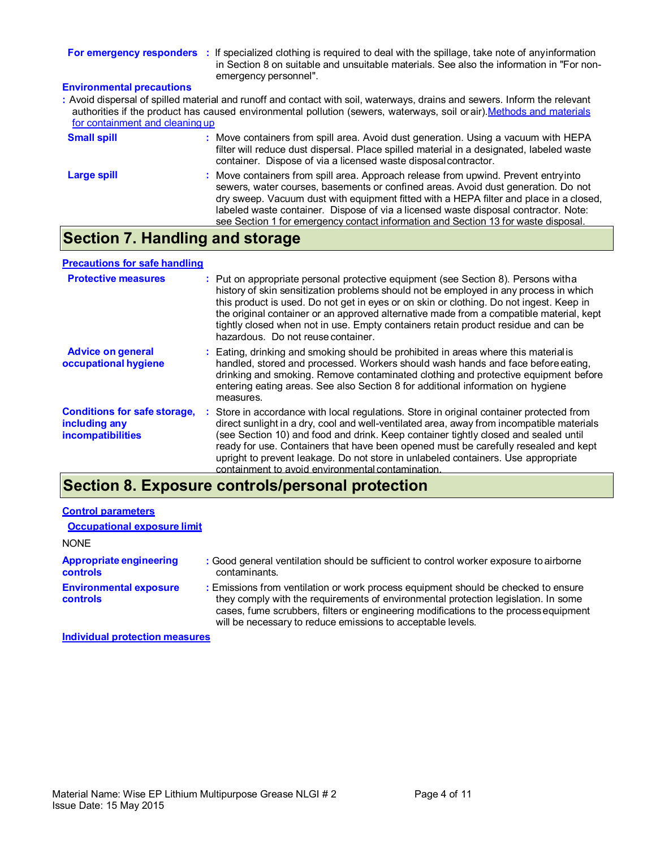**For emergency responders** : If specialized clothing is required to deal with the spillage, take note of any information in Section 8 on suitable and unsuitable materials. See also the information in "For nonemergency personnel".

### **Environmental precautions**

**:** Avoid dispersal of spilled material and runoff and contact with soil, waterways, drains and sewers. Inform the relevant authorities if the product has caused environmental pollution (sewers, waterways, soil or air). Methods and materials for containment and cleaning up

| <b>Small spill</b> | : Move containers from spill area. Avoid dust generation. Using a vacuum with HEPA<br>filter will reduce dust dispersal. Place spilled material in a designated, labeled waste<br>container. Dispose of via a licensed waste disposal contractor.                                                                                                                                                                                              |
|--------------------|------------------------------------------------------------------------------------------------------------------------------------------------------------------------------------------------------------------------------------------------------------------------------------------------------------------------------------------------------------------------------------------------------------------------------------------------|
| Large spill        | : Move containers from spill area. Approach release from upwind. Prevent entryinto<br>sewers, water courses, basements or confined areas. Avoid dust generation. Do not<br>dry sweep. Vacuum dust with equipment fitted with a HEPA filter and place in a closed,<br>labeled waste container. Dispose of via a licensed waste disposal contractor. Note:<br>see Section 1 for emergency contact information and Section 13 for waste disposal. |

### **Section 7. Handling and storage**

#### **Precautions for safe handling**

| <b>Protective measures</b>                                                       | : Put on appropriate personal protective equipment (see Section 8). Persons witha<br>history of skin sensitization problems should not be employed in any process in which<br>this product is used. Do not get in eyes or on skin or clothing. Do not ingest. Keep in<br>the original container or an approved alternative made from a compatible material, kept<br>tightly closed when not in use. Empty containers retain product residue and can be<br>hazardous. Do not reuse container.                  |
|----------------------------------------------------------------------------------|---------------------------------------------------------------------------------------------------------------------------------------------------------------------------------------------------------------------------------------------------------------------------------------------------------------------------------------------------------------------------------------------------------------------------------------------------------------------------------------------------------------|
| <b>Advice on general</b><br>occupational hygiene                                 | : Eating, drinking and smoking should be prohibited in areas where this material is<br>handled, stored and processed. Workers should wash hands and face before eating,<br>drinking and smoking. Remove contaminated clothing and protective equipment before<br>entering eating areas. See also Section 8 for additional information on hygiene<br>measures.                                                                                                                                                 |
| <b>Conditions for safe storage,</b><br>including any<br><i>incompatibilities</i> | : Store in accordance with local regulations. Store in original container protected from<br>direct sunlight in a dry, cool and well-ventilated area, away from incompatible materials<br>(see Section 10) and food and drink. Keep container tightly closed and sealed until<br>ready for use. Containers that have been opened must be carefully resealed and kept<br>upright to prevent leakage. Do not store in unlabeled containers. Use appropriate<br>containment to avoid environmental contamination. |

# **Section 8. Exposure controls/personal protection**

| <b>Control parameters</b>                  |                                                                                                                                                                                                                                                                                                                                 |
|--------------------------------------------|---------------------------------------------------------------------------------------------------------------------------------------------------------------------------------------------------------------------------------------------------------------------------------------------------------------------------------|
| <b>Occupational exposure limit</b>         |                                                                                                                                                                                                                                                                                                                                 |
| <b>NONE</b>                                |                                                                                                                                                                                                                                                                                                                                 |
| <b>Appropriate engineering</b><br>controls | : Good general ventilation should be sufficient to control worker exposure to airborne<br>contaminants.                                                                                                                                                                                                                         |
| <b>Environmental exposure</b><br>controls  | : Emissions from ventilation or work process equipment should be checked to ensure<br>they comply with the requirements of environmental protection legislation. In some<br>cases, fume scrubbers, filters or engineering modifications to the process equipment<br>will be necessary to reduce emissions to acceptable levels. |
| Individual protection mesocures            |                                                                                                                                                                                                                                                                                                                                 |

**Individual protection measures**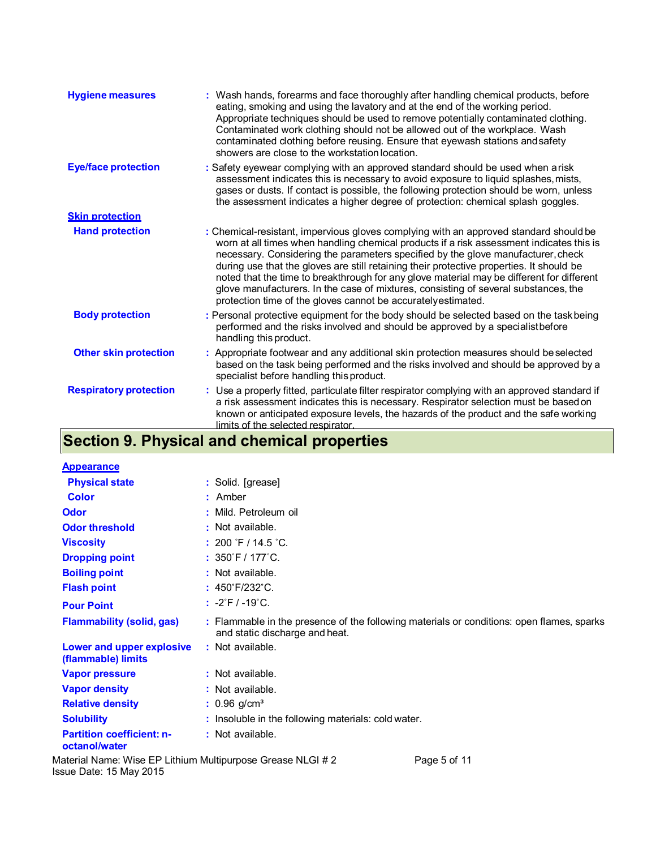| <b>Hygiene measures</b>       | : Wash hands, forearms and face thoroughly after handling chemical products, before<br>eating, smoking and using the lavatory and at the end of the working period.<br>Appropriate techniques should be used to remove potentially contaminated clothing.<br>Contaminated work clothing should not be allowed out of the workplace. Wash<br>contaminated clothing before reusing. Ensure that eyewash stations and safety<br>showers are close to the workstation location.                                                                                                                                            |
|-------------------------------|------------------------------------------------------------------------------------------------------------------------------------------------------------------------------------------------------------------------------------------------------------------------------------------------------------------------------------------------------------------------------------------------------------------------------------------------------------------------------------------------------------------------------------------------------------------------------------------------------------------------|
| <b>Eye/face protection</b>    | : Safety eyewear complying with an approved standard should be used when arisk<br>assessment indicates this is necessary to avoid exposure to liquid splashes, mists,<br>gases or dusts. If contact is possible, the following protection should be worn, unless<br>the assessment indicates a higher degree of protection: chemical splash goggles.                                                                                                                                                                                                                                                                   |
| <b>Skin protection</b>        |                                                                                                                                                                                                                                                                                                                                                                                                                                                                                                                                                                                                                        |
| <b>Hand protection</b>        | : Chemical-resistant, impervious gloves complying with an approved standard should be<br>worn at all times when handling chemical products if a risk assessment indicates this is<br>necessary. Considering the parameters specified by the glove manufacturer, check<br>during use that the gloves are still retaining their protective properties. It should be<br>noted that the time to breakthrough for any glove material may be different for different<br>glove manufacturers. In the case of mixtures, consisting of several substances, the<br>protection time of the gloves cannot be accurately estimated. |
| <b>Body protection</b>        | : Personal protective equipment for the body should be selected based on the taskbeing<br>performed and the risks involved and should be approved by a specialistbefore<br>handling this product.                                                                                                                                                                                                                                                                                                                                                                                                                      |
| <b>Other skin protection</b>  | : Appropriate footwear and any additional skin protection measures should be selected<br>based on the task being performed and the risks involved and should be approved by a<br>specialist before handling this product.                                                                                                                                                                                                                                                                                                                                                                                              |
| <b>Respiratory protection</b> | : Use a properly fitted, particulate filter respirator complying with an approved standard if<br>a risk assessment indicates this is necessary. Respirator selection must be based on<br>known or anticipated exposure levels, the hazards of the product and the safe working<br>limits of the selected respirator.                                                                                                                                                                                                                                                                                                   |

### **Section 9. Physical and chemical properties**

| <b>Appearance</b>                                 |                                                                                                                             |
|---------------------------------------------------|-----------------------------------------------------------------------------------------------------------------------------|
| <b>Physical state</b>                             | : Solid. [grease]                                                                                                           |
| <b>Color</b>                                      | $:$ Amber                                                                                                                   |
| <b>Odor</b>                                       | : Mild. Petroleum oil                                                                                                       |
| <b>Odor threshold</b>                             | : Not available.                                                                                                            |
| <b>Viscosity</b>                                  | : 200 $\degree$ F / 14.5 $\degree$ C.                                                                                       |
| <b>Dropping point</b>                             | : $350^{\circ}$ F / 177 $^{\circ}$ C.                                                                                       |
| <b>Boiling point</b>                              | : Not available.                                                                                                            |
| <b>Flash point</b>                                | : 450°F/232°C.                                                                                                              |
| <b>Pour Point</b>                                 | $: -2 \degree F / -19 \degree C.$                                                                                           |
| <b>Flammability (solid, gas)</b>                  | : Flammable in the presence of the following materials or conditions: open flames, sparks<br>and static discharge and heat. |
| Lower and upper explosive<br>(flammable) limits   | : Not available.                                                                                                            |
| <b>Vapor pressure</b>                             | : Not available.                                                                                                            |
| <b>Vapor density</b>                              | : Not available.                                                                                                            |
| <b>Relative density</b>                           | $: 0.96$ g/cm <sup>3</sup>                                                                                                  |
| <b>Solubility</b>                                 | : Insoluble in the following materials: cold water.                                                                         |
| <b>Partition coefficient: n-</b><br>octanol/water | : Not available.                                                                                                            |

Material Name: Wise EP Lithium Multipurpose Grease NLGI # 2 Page 5 of 11 Issue Date: 15 May 2015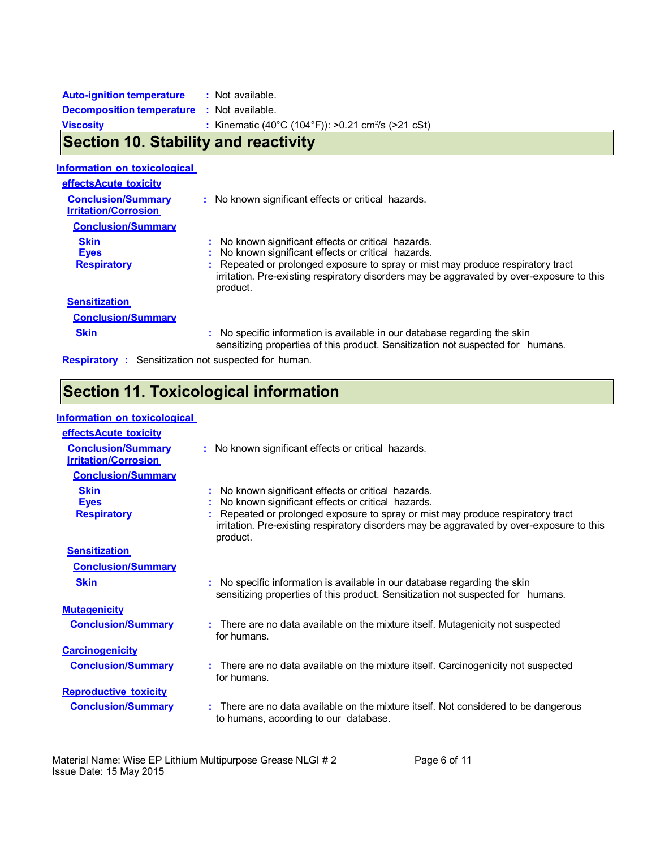| $\overline{\mathsf{R}}$ and $\overline{\mathsf{A}}$ $\overline{\mathsf{R}}$ $\overline{\mathsf{R}}$ and $\overline{\mathsf{R}}$ and $\overline{\mathsf{R}}$ and $\overline{\mathsf{R}}$ |                                                                |
|-----------------------------------------------------------------------------------------------------------------------------------------------------------------------------------------|----------------------------------------------------------------|
| <b>Viscosity</b>                                                                                                                                                                        | : Kinematic (40°C (104°F)): >0.21 cm <sup>2</sup> /s (>21 cSt) |
| <b>Decomposition temperature : Not available.</b>                                                                                                                                       |                                                                |
| <b>Auto-ignition temperature</b>                                                                                                                                                        | : Not available.                                               |

## **Section 10. Stability and reactivity**

|  | Information on toxicological |
|--|------------------------------|
|  |                              |

| effectsAcute toxicity                                    |                                                                                                                                                                                                                                                                                                    |
|----------------------------------------------------------|----------------------------------------------------------------------------------------------------------------------------------------------------------------------------------------------------------------------------------------------------------------------------------------------------|
| <b>Conclusion/Summary</b><br><b>Irritation/Corrosion</b> | : No known significant effects or critical hazards.                                                                                                                                                                                                                                                |
| <b>Conclusion/Summary</b>                                |                                                                                                                                                                                                                                                                                                    |
| <b>Skin</b><br><b>Eyes</b><br><b>Respiratory</b>         | : No known significant effects or critical hazards.<br>No known significant effects or critical hazards.<br>Repeated or prolonged exposure to spray or mist may produce respiratory tract<br>irritation. Pre-existing respiratory disorders may be aggravated by over-exposure to this<br>product. |
| <b>Sensitization</b>                                     |                                                                                                                                                                                                                                                                                                    |
| <b>Conclusion/Summary</b>                                |                                                                                                                                                                                                                                                                                                    |
| <b>Skin</b>                                              | : No specific information is available in our database regarding the skin<br>sensitizing properties of this product. Sensitization not suspected for humans.                                                                                                                                       |
| Recniratory +                                            | Sensitization not suspected for human                                                                                                                                                                                                                                                              |

**Respiratory :** Sensitization not suspected for human.

# **Section 11. Toxicological information**

### **Information on toxicological**

| effectsAcute toxicity                                    |                                                                                                                                                                                                                                                                                                  |
|----------------------------------------------------------|--------------------------------------------------------------------------------------------------------------------------------------------------------------------------------------------------------------------------------------------------------------------------------------------------|
| <b>Conclusion/Summary</b><br><b>Irritation/Corrosion</b> | : No known significant effects or critical hazards.                                                                                                                                                                                                                                              |
| <b>Conclusion/Summary</b>                                |                                                                                                                                                                                                                                                                                                  |
| <b>Skin</b><br><b>Eyes</b><br><b>Respiratory</b>         | No known significant effects or critical hazards.<br>No known significant effects or critical hazards.<br>Repeated or prolonged exposure to spray or mist may produce respiratory tract<br>irritation. Pre-existing respiratory disorders may be aggravated by over-exposure to this<br>product. |
| <b>Sensitization</b>                                     |                                                                                                                                                                                                                                                                                                  |
| <b>Conclusion/Summary</b>                                |                                                                                                                                                                                                                                                                                                  |
| <b>Skin</b>                                              | No specific information is available in our database regarding the skin<br>sensitizing properties of this product. Sensitization not suspected for humans.                                                                                                                                       |
| <b>Mutagenicity</b>                                      |                                                                                                                                                                                                                                                                                                  |
| <b>Conclusion/Summary</b>                                | There are no data available on the mixture itself. Mutagenicity not suspected<br>for humans.                                                                                                                                                                                                     |
| <b>Carcinogenicity</b>                                   |                                                                                                                                                                                                                                                                                                  |
| <b>Conclusion/Summary</b>                                | There are no data available on the mixture itself. Carcinogenicity not suspected<br>for humans.                                                                                                                                                                                                  |
| <b>Reproductive toxicity</b>                             |                                                                                                                                                                                                                                                                                                  |
| <b>Conclusion/Summary</b>                                | There are no data available on the mixture itself. Not considered to be dangerous<br>to humans, according to our database.                                                                                                                                                                       |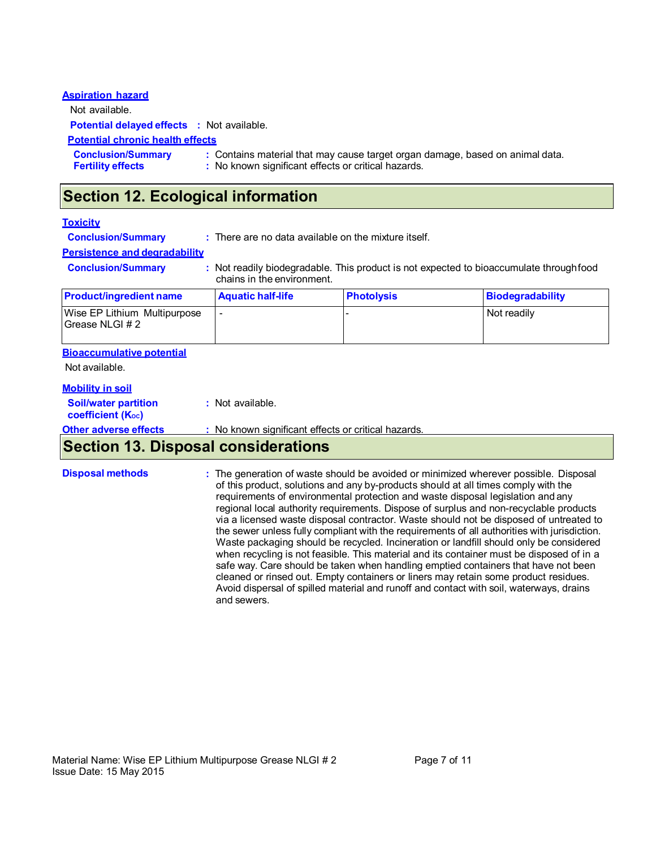| <b>Aspiration hazard</b>                              |                                                                                                                                      |
|-------------------------------------------------------|--------------------------------------------------------------------------------------------------------------------------------------|
| Not available.                                        |                                                                                                                                      |
| <b>Potential delayed effects : Not available.</b>     |                                                                                                                                      |
| <b>Potential chronic health effects</b>               |                                                                                                                                      |
| <b>Conclusion/Summary</b><br><b>Fertility effects</b> | : Contains material that may cause target organ damage, based on animal data.<br>: No known significant effects or critical hazards. |

## **Section 12. Ecological information**

#### **Toxicity**

**Conclusion/Summary :** There are no data available on the mixture itself.

#### **Persistence and degradability**

**Conclusion/Summary : Not readily biodegradable. This product is not expected to bioaccumulate through food** chains in the environment.

| <b>Product/ingredient name</b>                      | <b>Aquatic half-life</b> | <b>Photolysis</b> | Biodegradability |
|-----------------------------------------------------|--------------------------|-------------------|------------------|
| Wise EP Lithium Multipurpose<br>l Grease NLGI # 2 l |                          |                   | Not readily      |

#### **Bioaccumulative potential**

Not available.

#### **Mobility in soil**

| <b>Section 13. Disposal considerations</b>              |                                                    |
|---------------------------------------------------------|----------------------------------------------------|
| <b>Other adverse effects</b>                            | : No known significant effects or critical hazards |
| <b>Soil/water partition</b><br><b>coefficient (Koc)</b> | : Not available.                                   |

**Disposal methods :** The generation of waste should be avoided or minimized wherever possible. Disposal of this product, solutions and any by-products should at all times comply with the requirements of environmental protection and waste disposal legislation and any regional local authority requirements. Dispose of surplus and non-recyclable products via a licensed waste disposal contractor. Waste should not be disposed of untreated to the sewer unless fully compliant with the requirements of all authorities with jurisdiction. Waste packaging should be recycled. Incineration or landfill should only be considered when recycling is not feasible. This material and its container must be disposed of in a safe way. Care should be taken when handling emptied containers that have not been cleaned or rinsed out. Empty containers or liners may retain some product residues. Avoid dispersal of spilled material and runoff and contact with soil, waterways, drains and sewers.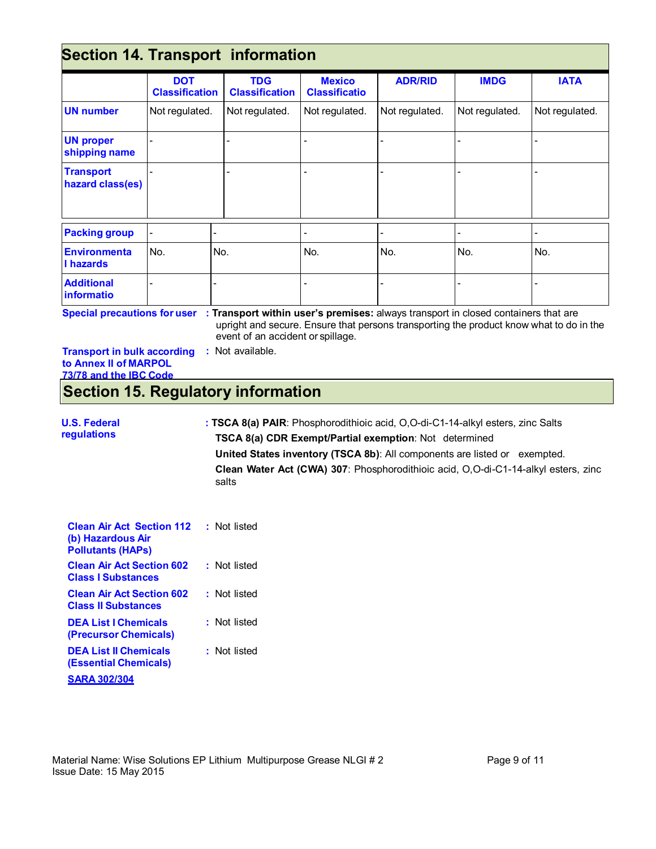# **Section 14. Transport information**

| popuoli 17. liuliopoli lilloilliuuolii |                                     |                                     |                                       |                |                |                |
|----------------------------------------|-------------------------------------|-------------------------------------|---------------------------------------|----------------|----------------|----------------|
|                                        | <b>DOT</b><br><b>Classification</b> | <b>TDG</b><br><b>Classification</b> | <b>Mexico</b><br><b>Classificatio</b> | <b>ADR/RID</b> | <b>IMDG</b>    | <b>IATA</b>    |
| <b>UN number</b>                       | Not regulated.                      | Not regulated.                      | Not regulated.                        | Not regulated. | Not regulated. | Not regulated. |
| <b>UN proper</b><br>shipping name      |                                     |                                     |                                       |                |                |                |
| <b>Transport</b><br>hazard class(es)   |                                     |                                     |                                       |                |                |                |
| <b>Packing group</b>                   | $\blacksquare$                      |                                     |                                       |                |                |                |
| <b>Environmenta</b><br>I hazards       | No.                                 | No.                                 | No.                                   | No.            | No.            | No.            |
| <b>Additional</b><br>informatio        |                                     |                                     |                                       |                |                |                |

**Special precautions for user** : Transport within user's premises: always transport in closed containers that are upright and secure. Ensure that persons transporting the product know what to do in the event of an accident or spillage.

| <b>Transport in bulk according</b> | : Not available. |
|------------------------------------|------------------|
| to Annex II of MARPOL              |                  |
| 73/78 and the IBC Code             |                  |

# **Section 15. Regulatory information**

#### **U.S. Federal regulations : TSCA 8(a) PAIR**: Phosphorodithioic acid, O,O-di-C1-14-alkyl esters, zinc Salts **TSCA 8(a) CDR Exempt/Partial exemption**: Not determined **United States inventory (TSCA 8b)**: All components are listed or exempted. **Clean Water Act (CWA) 307**: Phosphorodithioic acid, O,O-di-C1-14-alkyl esters, zinc salts

| <b>Clean Air Act Section 112</b><br>(b) Hazardous Air<br><b>Pollutants (HAPs)</b> | : Not listed |
|-----------------------------------------------------------------------------------|--------------|
| <b>Clean Air Act Section 602</b><br><b>Class I Substances</b>                     | : Not listed |
| <b>Clean Air Act Section 602</b><br><b>Class II Substances</b>                    | : Not listed |
| <b>DEA List   Chemicals</b><br>(Precursor Chemicals)                              | : Not listed |
| <b>DEA List II Chemicals</b><br>(Essential Chemicals)                             | : Not listed |
| <b>SARA 302/304</b>                                                               |              |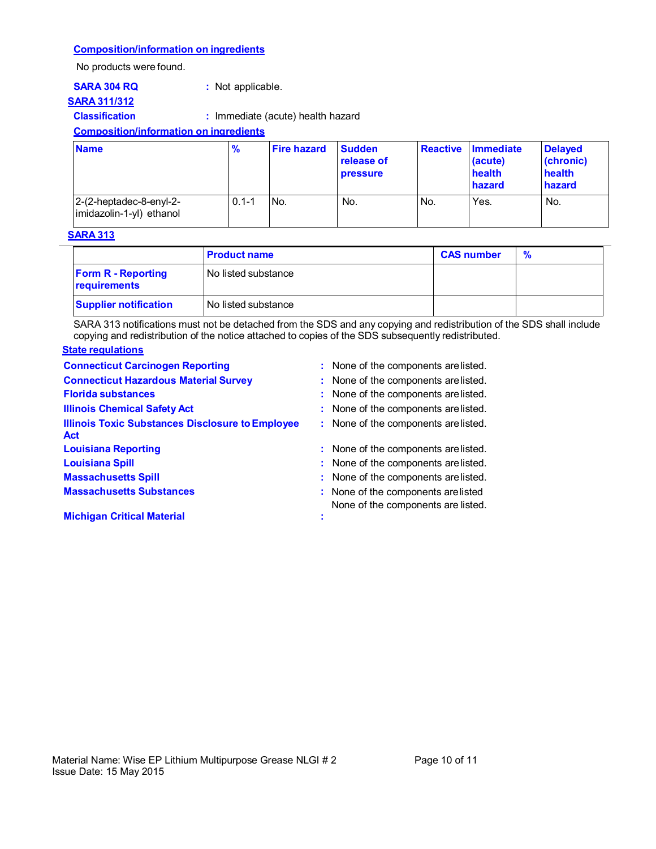#### **Composition/information on ingredients**

No products were found.

### **SARA 311/312**

**SARA 304 RQ : Not applicable.** 

# **Classification :** Immediate (acute) health hazard

**Composition/information on ingredients**

| <b>Name</b>                                         | $\frac{9}{6}$ | <b>Fire hazard</b> | <b>Sudden</b><br>release of<br><b>pressure</b> |     | ∣ Reactive ∣Immediate<br>(acute)<br>health<br>hazard | <b>Delayed</b><br>(chronic)<br>health<br>hazard |
|-----------------------------------------------------|---------------|--------------------|------------------------------------------------|-----|------------------------------------------------------|-------------------------------------------------|
| 2-(2-heptadec-8-enyl-2-<br>imidazolin-1-yl) ethanol | $0.1 - 1$     | IN <sub>o</sub>    | No.                                            | No. | Yes.                                                 | No.                                             |

#### **SARA 313**

|                                           | <b>Product name</b>   | <b>CAS number</b> | % |
|-------------------------------------------|-----------------------|-------------------|---|
| <b>Form R - Reporting</b><br>requirements | l No listed substance |                   |   |
| <b>Supplier notification</b>              | No listed substance   |                   |   |

SARA 313 notifications must not be detached from the SDS and any copying and redistribution of the SDS shall include copying and redistribution of the notice attached to copies of the SDS subsequently redistributed.

### **State regulations**

| <b>Connecticut Carcinogen Reporting</b>                               | : None of the components are listed.                                      |
|-----------------------------------------------------------------------|---------------------------------------------------------------------------|
| <b>Connecticut Hazardous Material Survey</b>                          | : None of the components are listed.                                      |
| <b>Florida substances</b>                                             | : None of the components are listed.                                      |
| <b>Illinois Chemical Safety Act</b>                                   | : None of the components are listed.                                      |
| <b>Illinois Toxic Substances Disclosure to Employee</b><br><b>Act</b> | : None of the components are listed.                                      |
| <b>Louisiana Reporting</b>                                            | : None of the components are listed.                                      |
| <b>Louisiana Spill</b>                                                | : None of the components are listed.                                      |
| <b>Massachusetts Spill</b>                                            | : None of the components are listed.                                      |
| <b>Massachusetts Substances</b>                                       | : None of the components are listed<br>None of the components are listed. |
| <b>Michigan Critical Material</b>                                     |                                                                           |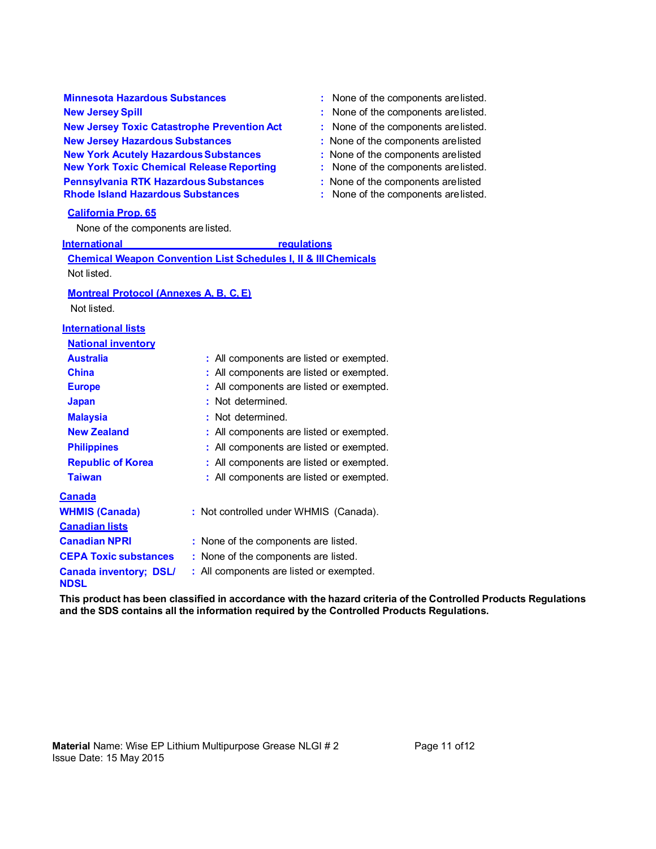**Minnesota Hazardous Substances** : None of the components are listed. **New Jersey Spill 30 and 20 and 20 and 20 and 20 and 20 and 20 and 20 and 20 and 20 and 20 and 20 and 20 and 20 and 20 and 20 and 20 and 20 and 20 and 20 and 20 and 20 and 20 and 20 and 20 and 20 and 20 and 20 and 20 and 2 New Jersey Toxic Catastrophe Prevention Act : None of the components are listed. New Jersey Hazardous Substances** : None of the components are listed **New York Acutely Hazardous Substances :** None of the components are listed **New York Toxic Chemical Release Reporting :** None of the components are listed. **Pennsylvania RTK Hazardous Substances** : None of the components are listed<br> **Rhode Island Hazardous Substances** : None of the components are listed

#### **California Prop. 65**

None of the components are listed.

#### **International** *regulations*

**Chemical Weapon Convention List Schedules I, II & III Chemicals** Not listed. **Montreal Protocol (Annexes A, B, C, E)** Not listed. **International lists National inventory Australia :** All components are listed or exempted. **China** : All components are listed or exempted. **Europe** : All components are listed or exempted. **Japan : Not determined. Malaysia** : Not determined. **New Zealand : All components are listed or exempted. Philippines : All components are listed or exempted. Republic of Korea : All components are listed or exempted. Taiwan : All components are listed or exempted. Canada WHMIS (Canada) Canadian lists :** Not controlled under WHMIS (Canada). **Canadian NPRI** : None of the components are listed. **CEPA Toxic substances :** None of the components are listed. **Canada inventory; DSL/ NDSL :** All components are listed or exempted.

**This product has been classified in accordance with the hazard criteria of the Controlled Products Regulations and the SDS contains all the information required by the Controlled Products Regulations.** 

- 
- 
- 
- 
- 
- 
- 
- **Rhome of the components are listed.**